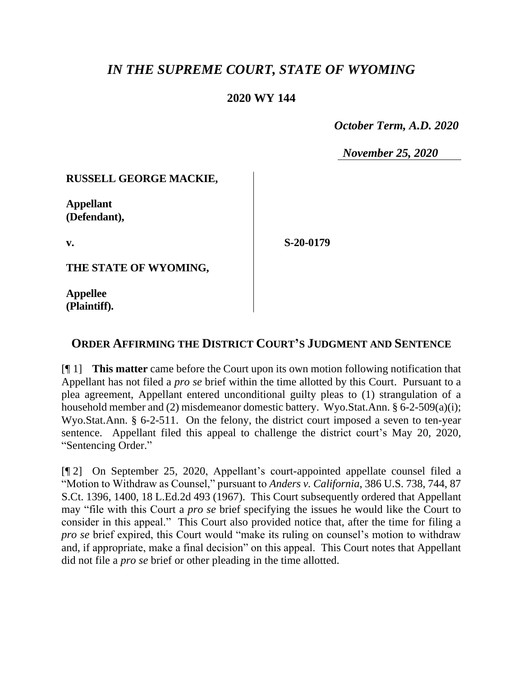# *IN THE SUPREME COURT, STATE OF WYOMING*

### **2020 WY 144**

 *October Term, A.D. 2020*

*November 25, 2020*

#### **RUSSELL GEORGE MACKIE,**

**Appellant (Defendant),**

**v.**

**S-20-0179**

**THE STATE OF WYOMING,**

**Appellee (Plaintiff).**

## **ORDER AFFIRMING THE DISTRICT COURT'S JUDGMENT AND SENTENCE**

[¶ 1] **This matter** came before the Court upon its own motion following notification that Appellant has not filed a *pro se* brief within the time allotted by this Court. Pursuant to a plea agreement, Appellant entered unconditional guilty pleas to (1) strangulation of a household member and (2) misdemeanor domestic battery. Wyo.Stat.Ann. § 6-2-509(a)(i); Wyo.Stat.Ann. § 6-2-511. On the felony, the district court imposed a seven to ten-year sentence. Appellant filed this appeal to challenge the district court's May 20, 2020, "Sentencing Order."

[¶ 2] On September 25, 2020, Appellant's court-appointed appellate counsel filed a "Motion to Withdraw as Counsel," pursuant to *Anders v. California*, 386 U.S. 738, 744, 87 S.Ct. 1396, 1400, 18 L.Ed.2d 493 (1967). This Court subsequently ordered that Appellant may "file with this Court a *pro se* brief specifying the issues he would like the Court to consider in this appeal." This Court also provided notice that, after the time for filing a *pro se* brief expired, this Court would "make its ruling on counsel's motion to withdraw and, if appropriate, make a final decision" on this appeal. This Court notes that Appellant did not file a *pro se* brief or other pleading in the time allotted.